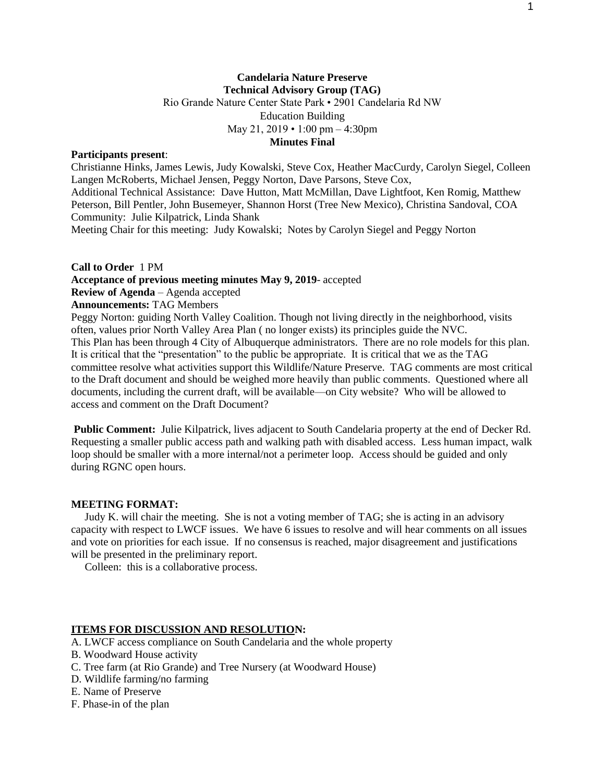# **Candelaria Nature Preserve Technical Advisory Group (TAG)** Rio Grande Nature Center State Park • 2901 Candelaria Rd NW Education Building May 21, 2019 • 1:00 pm – 4:30pm **Minutes Final**

### **Participants present**:

Christianne Hinks, James Lewis, Judy Kowalski, Steve Cox, Heather MacCurdy, Carolyn Siegel, Colleen Langen McRoberts, Michael Jensen, Peggy Norton, Dave Parsons, Steve Cox, Additional Technical Assistance: Dave Hutton, Matt McMillan, Dave Lightfoot, Ken Romig, Matthew Peterson, Bill Pentler, John Busemeyer, Shannon Horst (Tree New Mexico), Christina Sandoval, COA Community: Julie Kilpatrick, Linda Shank

Meeting Chair for this meeting: Judy Kowalski; Notes by Carolyn Siegel and Peggy Norton

### **Call to Order** 1 PM

### **Acceptance of previous meeting minutes May 9, 2019**- accepted

**Review of Agenda** – Agenda accepted

**Announcements:** TAG Members

Peggy Norton: guiding North Valley Coalition. Though not living directly in the neighborhood, visits often, values prior North Valley Area Plan ( no longer exists) its principles guide the NVC. This Plan has been through 4 City of Albuquerque administrators. There are no role models for this plan. It is critical that the "presentation" to the public be appropriate. It is critical that we as the TAG committee resolve what activities support this Wildlife/Nature Preserve. TAG comments are most critical to the Draft document and should be weighed more heavily than public comments. Questioned where all documents, including the current draft, will be available—on City website? Who will be allowed to access and comment on the Draft Document?

**Public Comment:** Julie Kilpatrick, lives adjacent to South Candelaria property at the end of Decker Rd. Requesting a smaller public access path and walking path with disabled access. Less human impact, walk loop should be smaller with a more internal/not a perimeter loop. Access should be guided and only during RGNC open hours.

# **MEETING FORMAT:**

 Judy K. will chair the meeting. She is not a voting member of TAG; she is acting in an advisory capacity with respect to LWCF issues. We have 6 issues to resolve and will hear comments on all issues and vote on priorities for each issue. If no consensus is reached, major disagreement and justifications will be presented in the preliminary report.

Colleen: this is a collaborative process.

## **ITEMS FOR DISCUSSION AND RESOLUTION:**

A. LWCF access compliance on South Candelaria and the whole property

- B. Woodward House activity
- C. Tree farm (at Rio Grande) and Tree Nursery (at Woodward House)
- D. Wildlife farming/no farming
- E. Name of Preserve
- F. Phase-in of the plan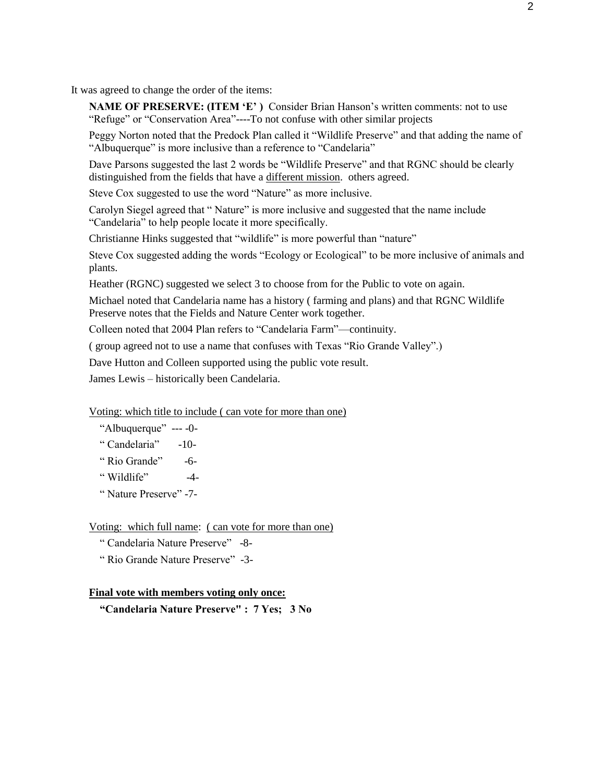It was agreed to change the order of the items:

**NAME OF PRESERVE: (ITEM 'E')** Consider Brian Hanson's written comments: not to use "Refuge" or "Conservation Area"----To not confuse with other similar projects

Peggy Norton noted that the Predock Plan called it "Wildlife Preserve" and that adding the name of "Albuquerque" is more inclusive than a reference to "Candelaria"

Dave Parsons suggested the last 2 words be "Wildlife Preserve" and that RGNC should be clearly distinguished from the fields that have a different mission. others agreed.

Steve Cox suggested to use the word "Nature" as more inclusive.

Carolyn Siegel agreed that " Nature" is more inclusive and suggested that the name include "Candelaria" to help people locate it more specifically.

Christianne Hinks suggested that "wildlife" is more powerful than "nature"

Steve Cox suggested adding the words "Ecology or Ecological" to be more inclusive of animals and plants.

Heather (RGNC) suggested we select 3 to choose from for the Public to vote on again.

Michael noted that Candelaria name has a history ( farming and plans) and that RGNC Wildlife Preserve notes that the Fields and Nature Center work together.

Colleen noted that 2004 Plan refers to "Candelaria Farm"—continuity.

( group agreed not to use a name that confuses with Texas "Rio Grande Valley".)

Dave Hutton and Colleen supported using the public vote result.

James Lewis – historically been Candelaria.

Voting: which title to include ( can vote for more than one)

"Albuquerque" --- -0-

" Candelaria" -10-

" Rio Grande" -6-

" Wildlife" -4-

" Nature Preserve" -7-

Voting: which full name: ( can vote for more than one)

" Candelaria Nature Preserve" -8-

" Rio Grande Nature Preserve" -3-

## **Final vote with members voting only once:**

 **"Candelaria Nature Preserve" : 7 Yes; 3 No**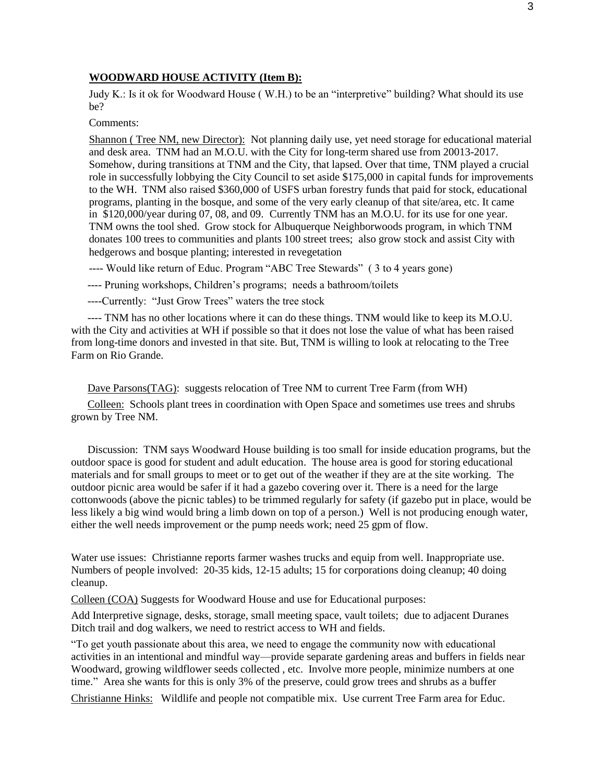### **WOODWARD HOUSE ACTIVITY (Item B):**

Judy K.: Is it ok for Woodward House ( W.H.) to be an "interpretive" building? What should its use be?

Comments:

Shannon ( Tree NM, new Director): Not planning daily use, yet need storage for educational material and desk area. TNM had an M.O.U. with the City for long-term shared use from 20013-2017. Somehow, during transitions at TNM and the City, that lapsed. Over that time, TNM played a crucial role in successfully lobbying the City Council to set aside \$175,000 in capital funds for improvements to the WH. TNM also raised \$360,000 of USFS urban forestry funds that paid for stock, educational programs, planting in the bosque, and some of the very early cleanup of that site/area, etc. It came in \$120,000/year during 07, 08, and 09. Currently TNM has an M.O.U. for its use for one year. TNM owns the tool shed. Grow stock for Albuquerque Neighborwoods program, in which TNM donates 100 trees to communities and plants 100 street trees; also grow stock and assist City with hedgerows and bosque planting; interested in revegetation

---- Would like return of Educ. Program "ABC Tree Stewards" ( 3 to 4 years gone)

---- Pruning workshops, Children's programs; needs a bathroom/toilets

----Currently: "Just Grow Trees" waters the tree stock

 ---- TNM has no other locations where it can do these things. TNM would like to keep its M.O.U. with the City and activities at WH if possible so that it does not lose the value of what has been raised from long-time donors and invested in that site. But, TNM is willing to look at relocating to the Tree Farm on Rio Grande.

Dave Parsons(TAG): suggests relocation of Tree NM to current Tree Farm (from WH)

 Colleen: Schools plant trees in coordination with Open Space and sometimes use trees and shrubs grown by Tree NM.

 Discussion: TNM says Woodward House building is too small for inside education programs, but the outdoor space is good for student and adult education. The house area is good for storing educational materials and for small groups to meet or to get out of the weather if they are at the site working. The outdoor picnic area would be safer if it had a gazebo covering over it. There is a need for the large cottonwoods (above the picnic tables) to be trimmed regularly for safety (if gazebo put in place, would be less likely a big wind would bring a limb down on top of a person.) Well is not producing enough water, either the well needs improvement or the pump needs work; need 25 gpm of flow.

Water use issues: Christianne reports farmer washes trucks and equip from well. Inappropriate use. Numbers of people involved: 20-35 kids, 12-15 adults; 15 for corporations doing cleanup; 40 doing cleanup.

Colleen (COA) Suggests for Woodward House and use for Educational purposes:

Add Interpretive signage, desks, storage, small meeting space, vault toilets; due to adjacent Duranes Ditch trail and dog walkers, we need to restrict access to WH and fields.

"To get youth passionate about this area, we need to engage the community now with educational activities in an intentional and mindful way—provide separate gardening areas and buffers in fields near Woodward, growing wildflower seeds collected , etc. Involve more people, minimize numbers at one time." Area she wants for this is only 3% of the preserve, could grow trees and shrubs as a buffer

Christianne Hinks: Wildlife and people not compatible mix. Use current Tree Farm area for Educ.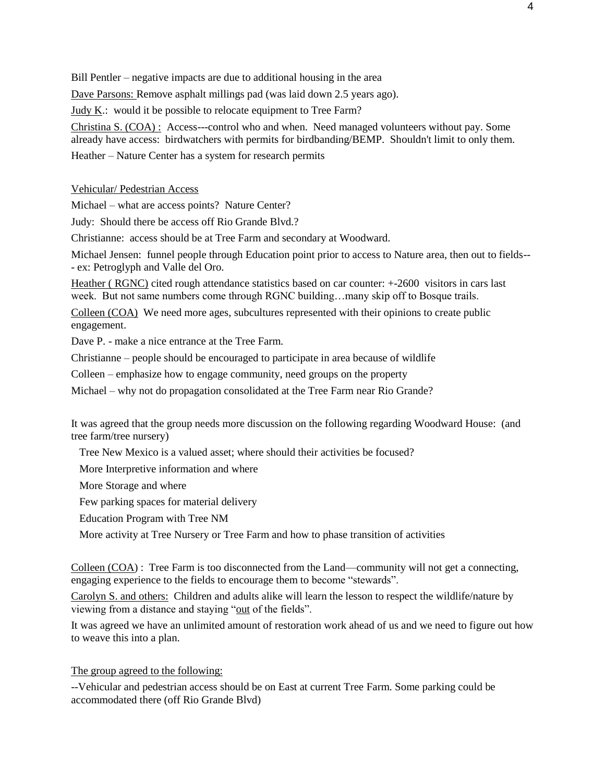Bill Pentler – negative impacts are due to additional housing in the area

Dave Parsons: Remove asphalt millings pad (was laid down 2.5 years ago).

Judy K.: would it be possible to relocate equipment to Tree Farm?

Christina S. (COA) : Access---control who and when. Need managed volunteers without pay. Some already have access: birdwatchers with permits for birdbanding/BEMP. Shouldn't limit to only them.

Heather – Nature Center has a system for research permits

Vehicular/ Pedestrian Access

Michael – what are access points? Nature Center?

Judy: Should there be access off Rio Grande Blvd.?

Christianne: access should be at Tree Farm and secondary at Woodward.

Michael Jensen: funnel people through Education point prior to access to Nature area, then out to fields-- - ex: Petroglyph and Valle del Oro.

Heather ( RGNC) cited rough attendance statistics based on car counter: +-2600 visitors in cars last week. But not same numbers come through RGNC building…many skip off to Bosque trails.

Colleen (COA) We need more ages, subcultures represented with their opinions to create public engagement.

Dave P. - make a nice entrance at the Tree Farm.

Christianne – people should be encouraged to participate in area because of wildlife

Colleen – emphasize how to engage community, need groups on the property

Michael – why not do propagation consolidated at the Tree Farm near Rio Grande?

It was agreed that the group needs more discussion on the following regarding Woodward House: (and tree farm/tree nursery)

Tree New Mexico is a valued asset; where should their activities be focused?

More Interpretive information and where

More Storage and where

Few parking spaces for material delivery

Education Program with Tree NM

More activity at Tree Nursery or Tree Farm and how to phase transition of activities

Colleen (COA) : Tree Farm is too disconnected from the Land—community will not get a connecting, engaging experience to the fields to encourage them to become "stewards".

Carolyn S. and others: Children and adults alike will learn the lesson to respect the wildlife/nature by viewing from a distance and staying "out of the fields".

It was agreed we have an unlimited amount of restoration work ahead of us and we need to figure out how to weave this into a plan.

### The group agreed to the following:

--Vehicular and pedestrian access should be on East at current Tree Farm. Some parking could be accommodated there (off Rio Grande Blvd)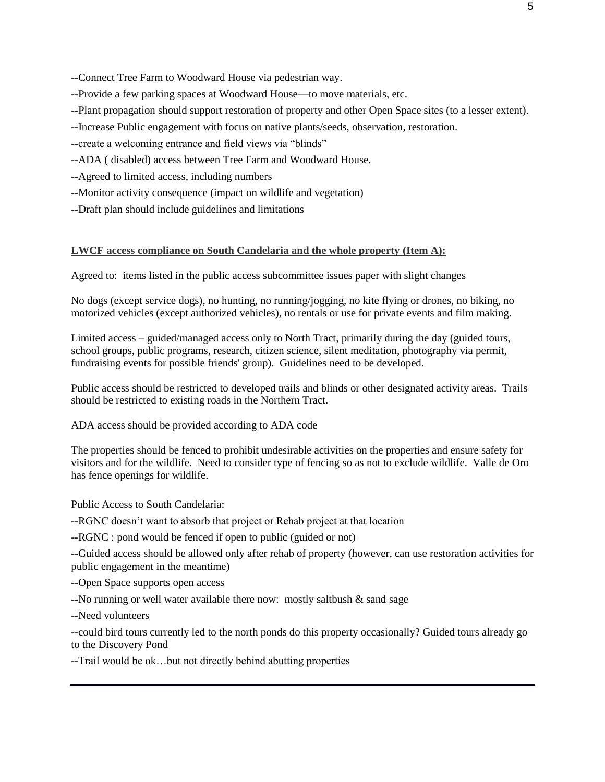--Connect Tree Farm to Woodward House via pedestrian way.

- --Provide a few parking spaces at Woodward House—to move materials, etc.
- --Plant propagation should support restoration of property and other Open Space sites (to a lesser extent).
- --Increase Public engagement with focus on native plants/seeds, observation, restoration.
- --create a welcoming entrance and field views via "blinds"
- --ADA ( disabled) access between Tree Farm and Woodward House.
- --Agreed to limited access, including numbers
- --Monitor activity consequence (impact on wildlife and vegetation)
- --Draft plan should include guidelines and limitations

#### **LWCF access compliance on South Candelaria and the whole property (Item A):**

Agreed to: items listed in the public access subcommittee issues paper with slight changes

No dogs (except service dogs), no hunting, no running/jogging, no kite flying or drones, no biking, no motorized vehicles (except authorized vehicles), no rentals or use for private events and film making.

Limited access – guided/managed access only to North Tract, primarily during the day (guided tours, school groups, public programs, research, citizen science, silent meditation, photography via permit, fundraising events for possible friends' group). Guidelines need to be developed.

Public access should be restricted to developed trails and blinds or other designated activity areas. Trails should be restricted to existing roads in the Northern Tract.

ADA access should be provided according to ADA code

The properties should be fenced to prohibit undesirable activities on the properties and ensure safety for visitors and for the wildlife. Need to consider type of fencing so as not to exclude wildlife. Valle de Oro has fence openings for wildlife.

Public Access to South Candelaria:

--RGNC doesn't want to absorb that project or Rehab project at that location

--RGNC : pond would be fenced if open to public (guided or not)

--Guided access should be allowed only after rehab of property (however, can use restoration activities for public engagement in the meantime)

--Open Space supports open access

--No running or well water available there now: mostly saltbush & sand sage

--Need volunteers

--could bird tours currently led to the north ponds do this property occasionally? Guided tours already go to the Discovery Pond

--Trail would be ok…but not directly behind abutting properties